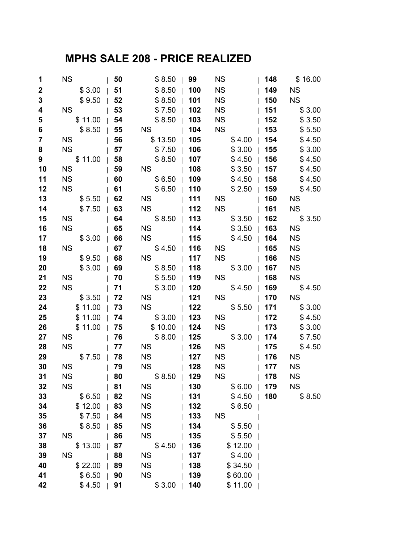## **MPHS SALE 208 - PRICE REALIZED**

| 1                | <b>NS</b> | 50         | \$8.50          | 99<br>$\mathbf{1}$ | <b>NS</b>                                                                                                                                                                                                                         | 148 | \$16.00         |
|------------------|-----------|------------|-----------------|--------------------|-----------------------------------------------------------------------------------------------------------------------------------------------------------------------------------------------------------------------------------|-----|-----------------|
| $\boldsymbol{2}$ | \$3.00    | 51         | \$8.50          | 100                | <b>NS</b>                                                                                                                                                                                                                         | 149 | <b>NS</b>       |
| $\mathbf{3}$     | \$9.50    | 52         | \$8.50          | 101                | <b>NS</b>                                                                                                                                                                                                                         | 150 | <b>NS</b>       |
| 4                | <b>NS</b> | 53         | \$7.50          | 102                | <b>NS</b>                                                                                                                                                                                                                         | 151 | \$3.00          |
| 5                | \$11.00   | $\vert$ 54 | \$8.50          | 103                | <b>NS</b>                                                                                                                                                                                                                         | 152 | \$3.50          |
| 6                | \$8.50    | 55         | NS <sub>2</sub> | 104                | <b>NS</b>                                                                                                                                                                                                                         | 153 | \$5.50          |
| $\overline{7}$   | <b>NS</b> | 56         | $$13.50$        | 105                | $$4.00$                                                                                                                                                                                                                           | 154 | \$4.50          |
| 8                | <b>NS</b> | 57         | $$7.50$         | 106                | \$3.00                                                                                                                                                                                                                            | 155 | \$3.00          |
| 9                | \$11.00   | 58         | \$8.50          | 107                | \$4.50                                                                                                                                                                                                                            | 156 | \$4.50          |
| 10               | <b>NS</b> | $\vert$ 59 | NS <sub>2</sub> | 108                | \$3.50                                                                                                                                                                                                                            | 157 | \$4.50          |
| 11               | <b>NS</b> | 60         | $$6.50$         | 109                | \$4.50                                                                                                                                                                                                                            | 158 | \$4.50          |
| 12               | <b>NS</b> | 61         | $$6.50$         | 110                | $$2.50$                                                                                                                                                                                                                           | 159 | \$4.50          |
| 13               | \$5.50    | 62         | <b>NS</b>       | 111                | NS 1                                                                                                                                                                                                                              | 160 | <b>NS</b>       |
| 14               | \$7.50    | 63         | <b>NS</b>       | 112                | <b>NS</b>                                                                                                                                                                                                                         | 161 | NS <sub>1</sub> |
| 15               | <b>NS</b> | $\vert$ 64 | $$8.50$   113   |                    | $$3.50$                                                                                                                                                                                                                           | 162 | \$3.50          |
| 16               | <b>NS</b> | 65         | NS <sub>2</sub> | 114                | \$3.50                                                                                                                                                                                                                            | 163 | <b>NS</b>       |
| 17               | $$3.00$   | 66         | NS <sub>2</sub> | 115                | $$4.50$                                                                                                                                                                                                                           | 164 | <b>NS</b>       |
| 18               | <b>NS</b> | 67         | $$4.50$         | 116                | NS Notes to the set of the set of the set of the set of the set of the set of the set of the set of the set of the set of the set of the set of the set of the set of the set of the set o<br>Set of the set of the set of the se | 165 | <b>NS</b>       |
| 19               | \$9.50    | 68         | NS <sub>2</sub> | 117                | <b>NS</b>                                                                                                                                                                                                                         | 166 | <b>NS</b>       |
| 20               | \$3.00    | $\vert$ 69 | $$8.50$   118   |                    | $$3.00$                                                                                                                                                                                                                           | 167 | <b>NS</b>       |
| 21               | <b>NS</b> | 70         | $$5.50$         | 119                | NS <sub>2</sub>                                                                                                                                                                                                                   | 168 | <b>NS</b>       |
| 22               | <b>NS</b> | 71         | $$3.00$         | 120                | $$4.50$                                                                                                                                                                                                                           | 169 | \$4.50          |
| 23               | \$3.50    | 72         | NS N            | 121                | NS <sub>2</sub>                                                                                                                                                                                                                   | 170 | NS <sub>2</sub> |
| 24               | \$11.00   | 73         | NS <sub>2</sub> | 122                | \$5.50                                                                                                                                                                                                                            | 171 | \$3.00          |
| 25               | \$11.00   | 74         | $$3.00$   123   |                    | <b>NS</b>                                                                                                                                                                                                                         | 172 | \$4.50          |
| 26               | \$11.00   | 75         | \$10.00         | 124                | NS <sub>2</sub>                                                                                                                                                                                                                   | 173 | \$3.00          |
| 27               | <b>NS</b> | 76         | $$8.00$         | 125                | $$3.00$                                                                                                                                                                                                                           | 174 | \$7.50          |
| 28               | <b>NS</b> | 77         | <b>NS</b>       | 126                | <b>NS</b>                                                                                                                                                                                                                         | 175 | \$4.50          |
| 29               | \$7.50    | 78         | <b>NS</b>       | 127                | <b>NS</b>                                                                                                                                                                                                                         | 176 | <b>NS</b>       |
| 30               | <b>NS</b> | 79         | <b>NS</b>       | 128                | <b>NS</b>                                                                                                                                                                                                                         | 177 | <b>NS</b>       |
| 31               | <b>NS</b> | 80         | \$8.50          | 129                | <b>NS</b>                                                                                                                                                                                                                         | 178 | <b>NS</b>       |
| 32               | <b>NS</b> | 81         | ΝS              | 130                | \$6.00                                                                                                                                                                                                                            | 179 | <b>NS</b>       |
| 33               | \$6.50    | 82         | <b>NS</b>       | 131                | \$4.50                                                                                                                                                                                                                            | 180 | \$8.50          |
| 34               | \$12.00   | 83         | <b>NS</b>       | 132                | \$6.50                                                                                                                                                                                                                            |     |                 |
| 35               | \$7.50    | 84         | <b>NS</b>       | 133                | <b>NS</b>                                                                                                                                                                                                                         |     |                 |
| 36               | \$8.50    | 85         | <b>NS</b>       | 134                | \$5.50                                                                                                                                                                                                                            |     |                 |
| 37               | <b>NS</b> | 86         | <b>NS</b>       | 135                | \$5.50                                                                                                                                                                                                                            |     |                 |
| 38               | \$13.00   | 87         | \$4.50          | 136                | \$12.00                                                                                                                                                                                                                           |     |                 |
| 39               | <b>NS</b> | 88         | <b>NS</b>       | 137                | \$4.00                                                                                                                                                                                                                            |     |                 |
| 40               | \$22.00   | 89         | <b>NS</b>       | 138                | \$34.50                                                                                                                                                                                                                           |     |                 |
| 41               | \$6.50    | 90         | <b>NS</b>       | 139                | \$60.00                                                                                                                                                                                                                           |     |                 |
| 42               | \$4.50    | 91         | \$3.00          | 140                | \$11.00                                                                                                                                                                                                                           |     |                 |